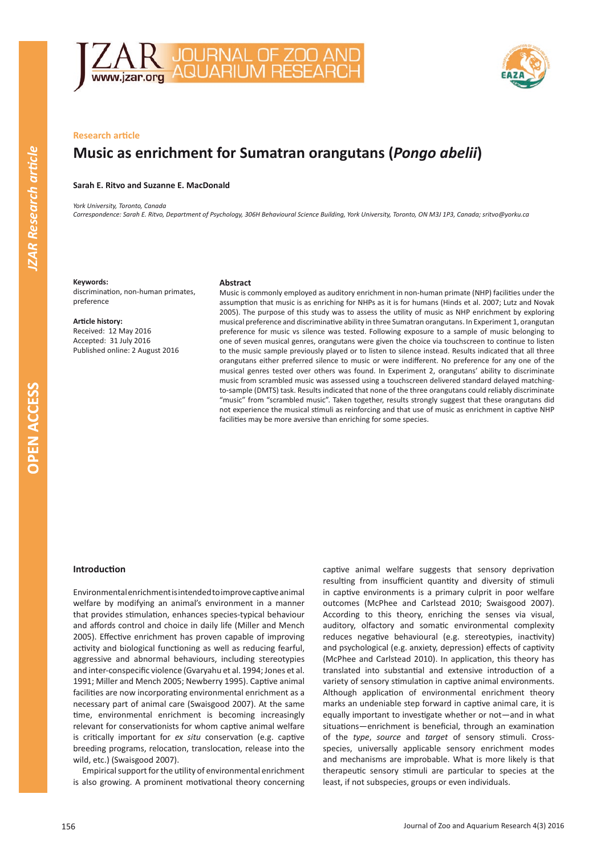



# **Research article**

# **Music as enrichment for Sumatran orangutans (***Pongo abelii***)**

# **Sarah E. Ritvo and Suzanne E. MacDonald**

*York University, Toronto, Canada Correspondence: Sarah E. Ritvo, Department of Psychology, 306H Behavioural Science Building, York University, Toronto, ON M3J 1P3, Canada; sritvo@yorku.ca*

## **Keywords:**

discrimination, non-human primates, preference

#### **Article history:**

Received: 12 May 2016 Accepted: 31 July 2016 Published online: 2 August 2016

#### **Abstract**

Music is commonly employed as auditory enrichment in non-human primate (NHP) facilities under the assumption that music is as enriching for NHPs as it is for humans (Hinds et al. 2007; Lutz and Novak 2005). The purpose of this study was to assess the utility of music as NHP enrichment by exploring musical preference and discriminative ability in three Sumatran orangutans. In Experiment 1, orangutan preference for music vs silence was tested. Following exposure to a sample of music belonging to one of seven musical genres, orangutans were given the choice via touchscreen to continue to listen to the music sample previously played or to listen to silence instead. Results indicated that all three orangutans either preferred silence to music or were indifferent. No preference for any one of the musical genres tested over others was found. In Experiment 2, orangutans' ability to discriminate music from scrambled music was assessed using a touchscreen delivered standard delayed matchingto-sample (DMTS) task. Results indicated that none of the three orangutans could reliably discriminate "music" from "scrambled music". Taken together, results strongly suggest that these orangutans did not experience the musical stimuli as reinforcing and that use of music as enrichment in captive NHP facilities may be more aversive than enriching for some species.

#### **Introduction**

Environmental enrichment is intended to improve captive animal welfare by modifying an animal's environment in a manner that provides stimulation, enhances species-typical behaviour and affords control and choice in daily life (Miller and Mench 2005). Effective enrichment has proven capable of improving activity and biological functioning as well as reducing fearful, aggressive and abnormal behaviours, including stereotypies and inter-conspecific violence (Gvaryahu et al. 1994; Jones et al. 1991; Miller and Mench 2005; Newberry 1995). Captive animal facilities are now incorporating environmental enrichment as a necessary part of animal care (Swaisgood 2007). At the same time, environmental enrichment is becoming increasingly relevant for conservationists for whom captive animal welfare is critically important for *ex situ* conservation (e.g. captive breeding programs, relocation, translocation, release into the wild, etc.) (Swaisgood 2007).

Empirical support for the utility of environmental enrichment is also growing. A prominent motivational theory concerning captive animal welfare suggests that sensory deprivation resulting from insufficient quantity and diversity of stimuli in captive environments is a primary culprit in poor welfare outcomes (McPhee and Carlstead 2010; Swaisgood 2007). According to this theory, enriching the senses via visual, auditory, olfactory and somatic environmental complexity reduces negative behavioural (e.g. stereotypies, inactivity) and psychological (e.g. anxiety, depression) effects of captivity (McPhee and Carlstead 2010). In application, this theory has translated into substantial and extensive introduction of a variety of sensory stimulation in captive animal environments. Although application of environmental enrichment theory marks an undeniable step forward in captive animal care, it is equally important to investigate whether or not—and in what situations—enrichment is beneficial, through an examination of the *type*, *source* and *target* of sensory stimuli. Crossspecies, universally applicable sensory enrichment modes and mechanisms are improbable. What is more likely is that therapeutic sensory stimuli are particular to species at the least, if not subspecies, groups or even individuals.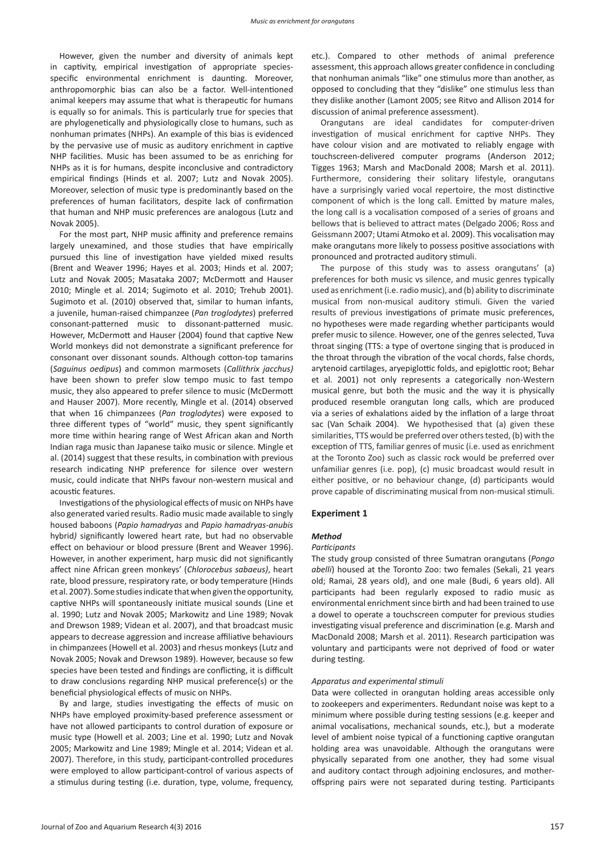However, given the number and diversity of animals kept in captivity, empirical investigation of appropriate speciesspecific environmental enrichment is daunting. Moreover, anthropomorphic bias can also be a factor. Well-intentioned animal keepers may assume that what is therapeutic for humans is equally so for animals. This is particularly true for species that are phylogenetically and physiologically close to humans, such as nonhuman primates (NHPs). An example of this bias is evidenced by the pervasive use of music as auditory enrichment in captive NHP facilities. Music has been assumed to be as enriching for NHPs as it is for humans, despite inconclusive and contradictory empirical findings (Hinds et al. 2007; Lutz and Novak 2005). Moreover, selection of music type is predominantly based on the preferences of human facilitators, despite lack of confirmation that human and NHP music preferences are analogous (Lutz and Novak 2005).

For the most part, NHP music affinity and preference remains largely unexamined, and those studies that have empirically pursued this line of investigation have yielded mixed results (Brent and Weaver 1996; Hayes et al. 2003; Hinds et al. 2007; Lutz and Novak 2005; Masataka 2007; McDermott and Hauser 2010; Mingle et al. 2014; Sugimoto et al. 2010; Trehub 2001). Sugimoto et al. (2010) observed that, similar to human infants, a juvenile, human-raised chimpanzee (*Pan troglodytes*) preferred consonant-patterned music to dissonant-patterned music. However, McDermott and Hauser (2004) found that captive New World monkeys did not demonstrate a significant preference for consonant over dissonant sounds. Although cotton-top tamarins (*Saguinus oedipus*) and common marmosets (*Callithrix jacchus)*  have been shown to prefer slow tempo music to fast tempo music, they also appeared to prefer silence to music (McDermott and Hauser 2007). More recently, Mingle et al. (2014) observed that when 16 chimpanzees (*Pan troglodytes*) were exposed to three different types of "world" music, they spent significantly more time within hearing range of West African akan and North Indian raga music than Japanese taiko music or silence. Mingle et al. (2014) suggest that these results, in combination with previous research indicating NHP preference for silence over western music, could indicate that NHPs favour non-western musical and acoustic features.

Investigations of the physiological effects of music on NHPs have also generated varied results. Radio music made available to singly housed baboons (*Papio hamadryas* and *Papio hamadryas-anubis*  hybrid*)* significantly lowered heart rate, but had no observable effect on behaviour or blood pressure (Brent and Weaver 1996). However, in another experiment, harp music did not significantly affect nine African green monkeys' (*Chlorocebus sabaeus)*, heart rate, blood pressure, respiratory rate, or body temperature (Hinds et al. 2007). Some studies indicate that when given the opportunity, captive NHPs will spontaneously initiate musical sounds (Line et al. 1990; Lutz and Novak 2005; Markowitz and Line 1989; Novak and Drewson 1989; Videan et al. 2007), and that broadcast music appears to decrease aggression and increase affiliative behaviours in chimpanzees (Howell et al. 2003) and rhesus monkeys (Lutz and Novak 2005; Novak and Drewson 1989). However, because so few species have been tested and findings are conflicting, it is difficult to draw conclusions regarding NHP musical preference(s) or the beneficial physiological effects of music on NHPs.

By and large, studies investigating the effects of music on NHPs have employed proximity-based preference assessment or have not allowed participants to control duration of exposure or music type (Howell et al. 2003; Line et al. 1990; Lutz and Novak 2005; Markowitz and Line 1989; Mingle et al. 2014; Videan et al. 2007). Therefore, in this study, participant-controlled procedures were employed to allow participant-control of various aspects of a stimulus during testing (i.e. duration, type, volume, frequency,

etc.). Compared to other methods of animal preference assessment, this approach allows greater confidence in concluding that nonhuman animals "like" one stimulus more than another, as opposed to concluding that they "dislike" one stimulus less than they dislike another (Lamont 2005; see Ritvo and Allison 2014 for discussion of animal preference assessment).

Orangutans are ideal candidates for computer-driven investigation of musical enrichment for captive NHPs. They have colour vision and are motivated to reliably engage with touchscreen-delivered computer programs (Anderson 2012; Tigges 1963; Marsh and MacDonald 2008; Marsh et al. 2011). Furthermore, considering their solitary lifestyle, orangutans have a surprisingly varied vocal repertoire, the most distinctive component of which is the long call. Emitted by mature males, the long call is a vocalisation composed of a series of groans and bellows that is believed to attract mates (Delgado 2006; Ross and Geissmann 2007; Utami Atmoko et al. 2009). This vocalisation may make orangutans more likely to possess positive associations with pronounced and protracted auditory stimuli.

The purpose of this study was to assess orangutans' (a) preferences for both music vs silence, and music genres typically used as enrichment (i.e. radio music), and (b) ability to discriminate musical from non-musical auditory stimuli. Given the varied results of previous investigations of primate music preferences, no hypotheses were made regarding whether participants would prefer music to silence. However, one of the genres selected, Tuva throat singing (TTS: a type of overtone singing that is produced in the throat through the vibration of the vocal chords, false chords, arytenoid cartilages, aryepiglottic folds, and epiglottic root; Behar et al. 2001) not only represents a categorically non-Western musical genre, but both the music and the way it is physically produced resemble orangutan long calls, which are produced via a series of exhalations aided by the inflation of a large throat sac (Van Schaik 2004). We hypothesised that (a) given these similarities, TTS would be preferred over others tested, (b) with the exception of TTS, familiar genres of music (i.e. used as enrichment at the Toronto Zoo) such as classic rock would be preferred over unfamiliar genres (i.e. pop), (c) music broadcast would result in either positive, or no behaviour change, (d) participants would prove capable of discriminating musical from non-musical stimuli.

## **Experiment 1**

#### *Method*

#### *Participants*

The study group consisted of three Sumatran orangutans (*Pongo abelli*) housed at the Toronto Zoo: two females (Sekali, 21 years old; Ramai, 28 years old), and one male (Budi, 6 years old). All participants had been regularly exposed to radio music as environmental enrichment since birth and had been trained to use a dowel to operate a touchscreen computer for previous studies investigating visual preference and discrimination (e.g. Marsh and MacDonald 2008; Marsh et al. 2011). Research participation was voluntary and participants were not deprived of food or water during testing.

## *Apparatus and experimental stimuli*

Data were collected in orangutan holding areas accessible only to zookeepers and experimenters. Redundant noise was kept to a minimum where possible during testing sessions (e.g. keeper and animal vocalisations, mechanical sounds, etc.), but a moderate level of ambient noise typical of a functioning captive orangutan holding area was unavoidable. Although the orangutans were physically separated from one another, they had some visual and auditory contact through adjoining enclosures, and motheroffspring pairs were not separated during testing. Participants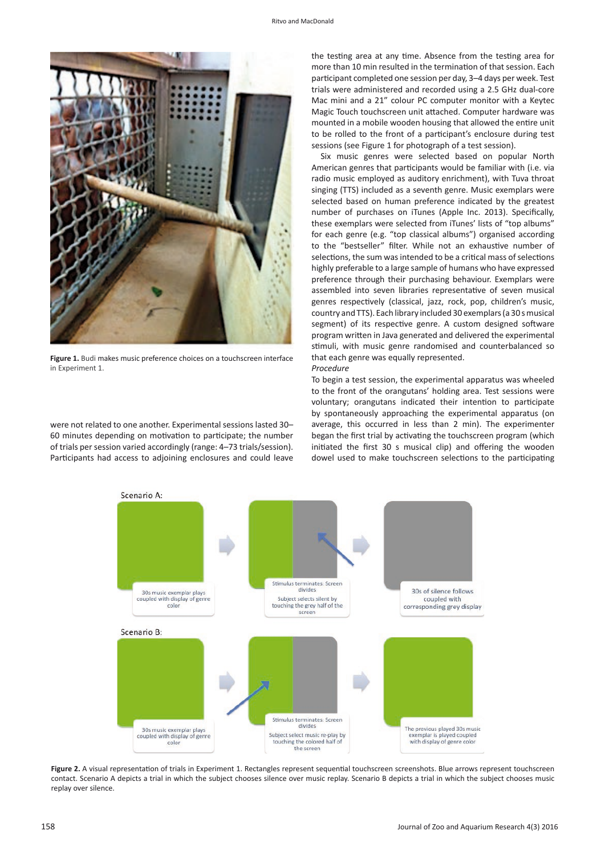

Figure 1. Budi makes music preference choices on a touchscreen interface in Experiment 1.

were not related to one another. Experimental sessions lasted 30– 60 minutes depending on motivation to participate; the number of trials per session varied accordingly (range: 4–73 trials/session). Participants had access to adjoining enclosures and could leave

the testing area at any time. Absence from the testing area for more than 10 min resulted in the termination of that session. Each participant completed one session per day, 3–4 days per week. Test trials were administered and recorded using a 2.5 GHz dual-core Mac mini and a 21" colour PC computer monitor with a Keytec Magic Touch touchscreen unit attached. Computer hardware was mounted in a mobile wooden housing that allowed the entire unit to be rolled to the front of a participant's enclosure during test sessions (see Figure 1 for photograph of a test session).

Six music genres were selected based on popular North American genres that participants would be familiar with (i.e. via radio music employed as auditory enrichment), with Tuva throat singing (TTS) included as a seventh genre. Music exemplars were selected based on human preference indicated by the greatest number of purchases on iTunes (Apple Inc. 2013). Specifically, these exemplars were selected from iTunes' lists of "top albums" for each genre (e.g. "top classical albums") organised according to the "bestseller" filter. While not an exhaustive number of selections, the sum was intended to be a critical mass of selections highly preferable to a large sample of humans who have expressed preference through their purchasing behaviour. Exemplars were assembled into seven libraries representative of seven musical genres respectively (classical, jazz, rock, pop, children's music, country and TTS). Each library included 30 exemplars (a 30 s musical segment) of its respective genre. A custom designed software program written in Java generated and delivered the experimental stimuli, with music genre randomised and counterbalanced so that each genre was equally represented. *Procedure*

# To begin a test session, the experimental apparatus was wheeled to the front of the orangutans' holding area. Test sessions were voluntary; orangutans indicated their intention to participate by spontaneously approaching the experimental apparatus (on average, this occurred in less than 2 min). The experimenter began the first trial by activating the touchscreen program (which initiated the first 30 s musical clip) and offering the wooden dowel used to make touchscreen selections to the participating



Figure 2. A visual representation of trials in Experiment 1. Rectangles represent sequential touchscreen screenshots. Blue arrows represent touchscreen contact. Scenario A depicts a trial in which the subject chooses silence over music replay. Scenario B depicts a trial in which the subject chooses music replay over silence.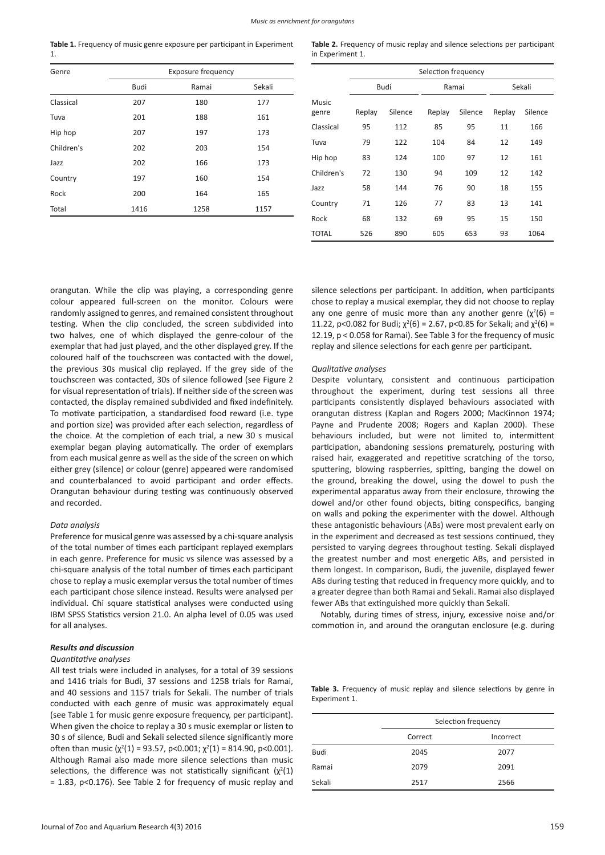**Table 1.** Frequency of music genre exposure per participant in Experiment 1.

| Genre      | <b>Exposure frequency</b> |       |        |  |
|------------|---------------------------|-------|--------|--|
|            | Budi                      | Ramai | Sekali |  |
| Classical  | 207                       | 180   | 177    |  |
| Tuva       | 201                       | 188   | 161    |  |
| Hip hop    | 207                       | 197   | 173    |  |
| Children's | 202                       | 203   | 154    |  |
| Jazz       | 202                       | 166   | 173    |  |
| Country    | 197                       | 160   | 154    |  |
| Rock       | 200                       | 164   | 165    |  |
| Total      | 1416                      | 1258  | 1157   |  |

**Table 2.** Frequency of music replay and silence selections per participant in Experiment 1.

|                       | Selection frequency |         |        |         |        |         |
|-----------------------|---------------------|---------|--------|---------|--------|---------|
|                       | Budi                |         | Ramai  |         | Sekali |         |
| <b>Music</b><br>genre | Replay              | Silence | Replay | Silence | Replay | Silence |
| Classical             | 95                  | 112     | 85     | 95      | 11     | 166     |
| Tuva                  | 79                  | 122     | 104    | 84      | 12     | 149     |
| Hip hop               | 83                  | 124     | 100    | 97      | 12     | 161     |
| Children's            | 72                  | 130     | 94     | 109     | 12     | 142     |
| Jazz                  | 58                  | 144     | 76     | 90      | 18     | 155     |
| Country               | 71                  | 126     | 77     | 83      | 13     | 141     |
| Rock                  | 68                  | 132     | 69     | 95      | 15     | 150     |
| <b>TOTAL</b>          | 526                 | 890     | 605    | 653     | 93     | 1064    |

orangutan. While the clip was playing, a corresponding genre colour appeared full-screen on the monitor. Colours were randomly assigned to genres, and remained consistent throughout testing. When the clip concluded, the screen subdivided into two halves, one of which displayed the genre-colour of the exemplar that had just played, and the other displayed grey. If the coloured half of the touchscreen was contacted with the dowel, the previous 30s musical clip replayed. If the grey side of the touchscreen was contacted, 30s of silence followed (see Figure 2 for visual representation of trials). If neither side of the screen was contacted, the display remained subdivided and fixed indefinitely. To motivate participation, a standardised food reward (i.e. type and portion size) was provided after each selection, regardless of the choice. At the completion of each trial, a new 30 s musical exemplar began playing automatically. The order of exemplars from each musical genre as well as the side of the screen on which either grey (silence) or colour (genre) appeared were randomised and counterbalanced to avoid participant and order effects. Orangutan behaviour during testing was continuously observed and recorded.

## *Data analysis*

Preference for musical genre was assessed by a chi-square analysis of the total number of times each participant replayed exemplars in each genre. Preference for music vs silence was assessed by a chi-square analysis of the total number of times each participant chose to replay a music exemplar versus the total number of times each participant chose silence instead. Results were analysed per individual. Chi square statistical analyses were conducted using IBM SPSS Statistics version 21.0. An alpha level of 0.05 was used for all analyses.

## *Results and discussion*

#### *Quantitative analyses*

All test trials were included in analyses, for a total of 39 sessions and 1416 trials for Budi, 37 sessions and 1258 trials for Ramai, and 40 sessions and 1157 trials for Sekali. The number of trials conducted with each genre of music was approximately equal (see Table 1 for music genre exposure frequency, per participant). When given the choice to replay a 30 s music exemplar or listen to 30 s of silence, Budi and Sekali selected silence significantly more often than music  $(\chi^2(1) = 93.57, \text{ p} < 0.001; \chi^2(1) = 814.90, \text{ p} < 0.001).$ Although Ramai also made more silence selections than music selections, the difference was not statistically significant  $(\chi^2(1))$ = 1.83, p<0.176). See Table 2 for frequency of music replay and silence selections per participant. In addition, when participants chose to replay a musical exemplar, they did not choose to replay any one genre of music more than any another genre  $(\chi^2(6) =$ 11.22, p<0.082 for Budi;  $\chi^2(6) = 2.67$ , p<0.85 for Sekali; and  $\chi^2(6) =$ 12.19, p < 0.058 for Ramai). See Table 3 for the frequency of music replay and silence selections for each genre per participant.

#### *Qualitative analyses*

Despite voluntary, consistent and continuous participation throughout the experiment, during test sessions all three participants consistently displayed behaviours associated with orangutan distress (Kaplan and Rogers 2000; MacKinnon 1974; Payne and Prudente 2008; Rogers and Kaplan 2000). These behaviours included, but were not limited to, intermittent participation, abandoning sessions prematurely, posturing with raised hair, exaggerated and repetitive scratching of the torso, sputtering, blowing raspberries, spitting, banging the dowel on the ground, breaking the dowel, using the dowel to push the experimental apparatus away from their enclosure, throwing the dowel and/or other found objects, biting conspecifics, banging on walls and poking the experimenter with the dowel. Although these antagonistic behaviours (ABs) were most prevalent early on in the experiment and decreased as test sessions continued, they persisted to varying degrees throughout testing. Sekali displayed the greatest number and most energetic ABs, and persisted in them longest. In comparison, Budi, the juvenile, displayed fewer ABs during testing that reduced in frequency more quickly, and to a greater degree than both Ramai and Sekali. Ramai also displayed fewer ABs that extinguished more quickly than Sekali.

Notably, during times of stress, injury, excessive noise and/or commotion in, and around the orangutan enclosure (e.g. during

Table 3. Frequency of music replay and silence selections by genre in Experiment 1.

|        | Selection frequency |           |  |
|--------|---------------------|-----------|--|
|        | Correct             | Incorrect |  |
| Budi   | 2045                | 2077      |  |
| Ramai  | 2079                | 2091      |  |
| Sekali | 2517                | 2566      |  |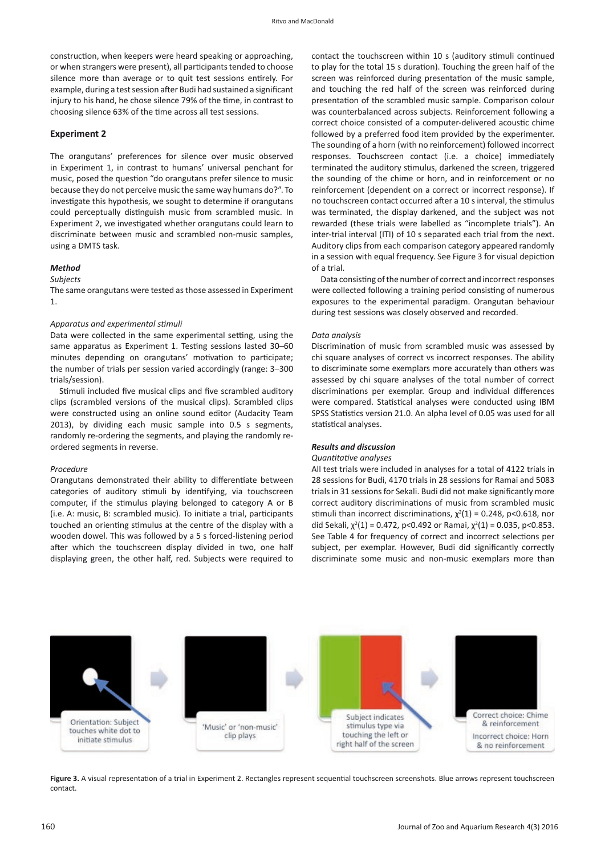construction, when keepers were heard speaking or approaching, or when strangers were present), all participants tended to choose silence more than average or to quit test sessions entirely. For example, during a test session after Budi had sustained a significant injury to his hand, he chose silence 79% of the time, in contrast to choosing silence 63% of the time across all test sessions.

## **Experiment 2**

The orangutans' preferences for silence over music observed in Experiment 1, in contrast to humans' universal penchant for music, posed the question "do orangutans prefer silence to music because they do not perceive music the same way humans do?". To investigate this hypothesis, we sought to determine if orangutans could perceptually distinguish music from scrambled music. In Experiment 2, we investigated whether orangutans could learn to discriminate between music and scrambled non-music samples, using a DMTS task.

## *Method*

#### *Subjects*

The same orangutans were tested as those assessed in Experiment 1.

#### *Apparatus and experimental stimuli*

Data were collected in the same experimental setting, using the same apparatus as Experiment 1. Testing sessions lasted 30–60 minutes depending on orangutans' motivation to participate; the number of trials per session varied accordingly (range: 3–300 trials/session).

Stimuli included five musical clips and five scrambled auditory clips (scrambled versions of the musical clips). Scrambled clips were constructed using an online sound editor (Audacity Team 2013), by dividing each music sample into 0.5 s segments, randomly re-ordering the segments, and playing the randomly reordered segments in reverse.

#### *Procedure*

Orangutans demonstrated their ability to differentiate between categories of auditory stimuli by identifying, via touchscreen computer, if the stimulus playing belonged to category A or B (i.e. A: music, B: scrambled music). To initiate a trial, participants touched an orienting stimulus at the centre of the display with a wooden dowel. This was followed by a 5 s forced-listening period after which the touchscreen display divided in two, one half displaying green, the other half, red. Subjects were required to

contact the touchscreen within 10 s (auditory stimuli continued to play for the total 15 s duration). Touching the green half of the screen was reinforced during presentation of the music sample, and touching the red half of the screen was reinforced during presentation of the scrambled music sample. Comparison colour was counterbalanced across subjects. Reinforcement following a correct choice consisted of a computer-delivered acoustic chime followed by a preferred food item provided by the experimenter. The sounding of a horn (with no reinforcement) followed incorrect responses. Touchscreen contact (i.e. a choice) immediately terminated the auditory stimulus, darkened the screen, triggered the sounding of the chime or horn, and in reinforcement or no reinforcement (dependent on a correct or incorrect response). If no touchscreen contact occurred after a 10 s interval, the stimulus was terminated, the display darkened, and the subject was not rewarded (these trials were labelled as "incomplete trials"). An inter-trial interval (ITI) of 10 s separated each trial from the next. Auditory clips from each comparison category appeared randomly in a session with equal frequency. See Figure 3 for visual depiction of a trial.

Data consisting of the number of correct and incorrect responses were collected following a training period consisting of numerous exposures to the experimental paradigm. Orangutan behaviour during test sessions was closely observed and recorded.

#### *Data analysis*

Discrimination of music from scrambled music was assessed by chi square analyses of correct vs incorrect responses. The ability to discriminate some exemplars more accurately than others was assessed by chi square analyses of the total number of correct discriminations per exemplar. Group and individual differences were compared. Statistical analyses were conducted using IBM SPSS Statistics version 21.0. An alpha level of 0.05 was used for all statistical analyses.

## *Results and discussion*

## *Quantitative analyses*

All test trials were included in analyses for a total of 4122 trials in 28 sessions for Budi, 4170 trials in 28 sessions for Ramai and 5083 trials in 31 sessions for Sekali. Budi did not make significantly more correct auditory discriminations of music from scrambled music stimuli than incorrect discriminations,  $\chi^2(1) = 0.248$ , p<0.618, nor did Sekali,  $\chi^2(1) = 0.472$ , p<0.492 or Ramai,  $\chi^2(1) = 0.035$ , p<0.853. See Table 4 for frequency of correct and incorrect selections per subject, per exemplar. However, Budi did significantly correctly discriminate some music and non-music exemplars more than



Figure 3. A visual representation of a trial in Experiment 2. Rectangles represent sequential touchscreen screenshots. Blue arrows represent touchscreen contact.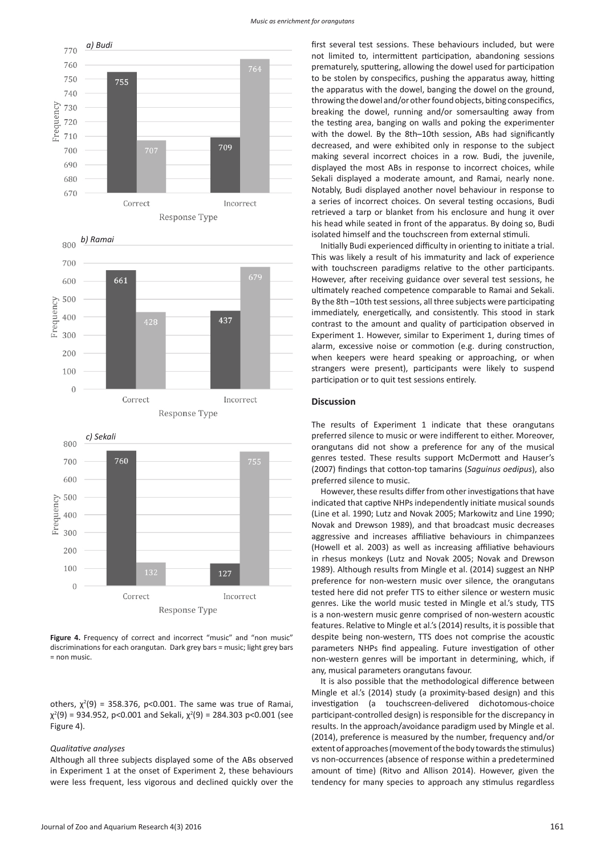



*c) Sekali* $800$ 700 760 600 500<br>
= 500<br>
= 400<br>
= 300 200  $100$ 127  $\Omega$ Correct Incorrect Response Type

Figure 4. Frequency of correct and incorrect "music" and "non music" discriminations for each orangutan. Dark grey bars = music; light grey bars = non music.

others,  $\chi^2(9)$  = 358.376, p<0.001. The same was true of Ramai,  $\chi^2(9)$  = 934.952, p<0.001 and Sekali,  $\chi^2(9)$  = 284.303 p<0.001 (see Figure 4).

#### *Qualitative analyses*

Although all three subjects displayed some of the ABs observed in Experiment 1 at the onset of Experiment 2, these behaviours were less frequent, less vigorous and declined quickly over the

first several test sessions. These behaviours included, but were not limited to, intermittent participation, abandoning sessions prematurely, sputtering, allowing the dowel used for participation to be stolen by conspecifics, pushing the apparatus away, hitting the apparatus with the dowel, banging the dowel on the ground, throwing the dowel and/or other found objects, biting conspecifics, breaking the dowel, running and/or somersaulting away from the testing area, banging on walls and poking the experimenter with the dowel. By the 8th–10th session, ABs had significantly decreased, and were exhibited only in response to the subject making several incorrect choices in a row. Budi, the juvenile, displayed the most ABs in response to incorrect choices, while Sekali displayed a moderate amount, and Ramai, nearly none. Notably, Budi displayed another novel behaviour in response to a series of incorrect choices. On several testing occasions, Budi retrieved a tarp or blanket from his enclosure and hung it over his head while seated in front of the apparatus. By doing so, Budi isolated himself and the touchscreen from external stimuli.

Initially Budi experienced difficulty in orienting to initiate a trial. This was likely a result of his immaturity and lack of experience with touchscreen paradigms relative to the other participants. However, after receiving guidance over several test sessions, he ultimately reached competence comparable to Ramai and Sekali. By the 8th –10th test sessions, all three subjects were participating immediately, energetically, and consistently. This stood in stark contrast to the amount and quality of participation observed in Experiment 1. However, similar to Experiment 1, during times of alarm, excessive noise or commotion (e.g. during construction, when keepers were heard speaking or approaching, or when strangers were present), participants were likely to suspend participation or to quit test sessions entirely.

## **Discussion**

The results of Experiment 1 indicate that these orangutans preferred silence to music or were indifferent to either. Moreover, orangutans did not show a preference for any of the musical genres tested. These results support McDermott and Hauser's (2007) findings that cotton-top tamarins (*Saguinus oedipus*), also preferred silence to music.

However, these results differ from other investigations that have indicated that captive NHPs independently initiate musical sounds (Line et al. 1990; Lutz and Novak 2005; Markowitz and Line 1990; Novak and Drewson 1989), and that broadcast music decreases aggressive and increases affiliative behaviours in chimpanzees (Howell et al. 2003) as well as increasing affiliative behaviours in rhesus monkeys (Lutz and Novak 2005; Novak and Drewson 1989). Although results from Mingle et al. (2014) suggest an NHP preference for non-western music over silence, the orangutans tested here did not prefer TTS to either silence or western music genres. Like the world music tested in Mingle et al.'s study, TTS is a non-western music genre comprised of non-western acoustic features. Relative to Mingle et al.'s (2014) results, it is possible that despite being non-western, TTS does not comprise the acoustic parameters NHPs find appealing. Future investigation of other non-western genres will be important in determining, which, if any, musical parameters orangutans favour.

It is also possible that the methodological difference between Mingle et al.'s (2014) study (a proximity-based design) and this investigation (a touchscreen-delivered dichotomous-choice participant-controlled design) is responsible for the discrepancy in results. In the approach/avoidance paradigm used by Mingle et al. (2014), preference is measured by the number, frequency and/or extent of approaches (movement of the body towards the stimulus) vs non-occurrences (absence of response within a predetermined amount of time) (Ritvo and Allison 2014). However, given the tendency for many species to approach any stimulus regardless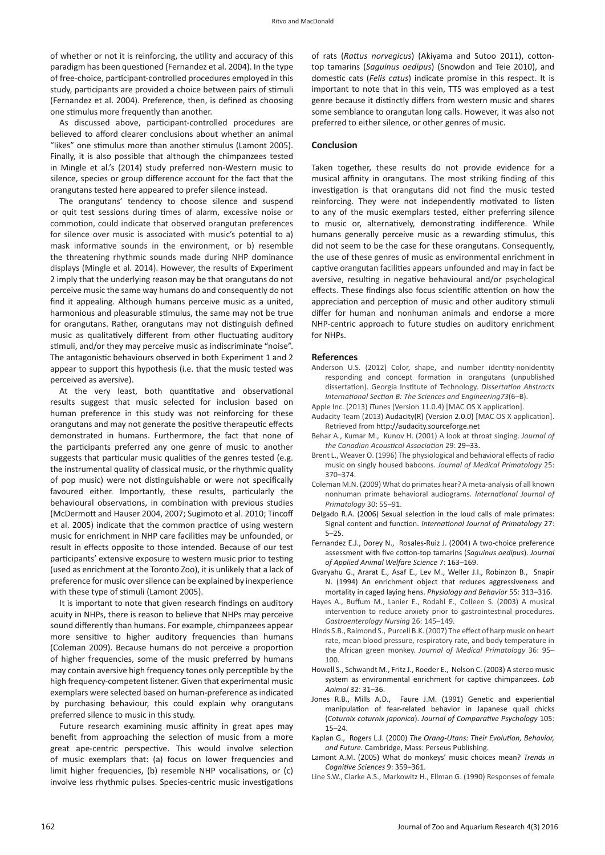of whether or not it is reinforcing, the utility and accuracy of this paradigm has been questioned (Fernandez et al. 2004). In the type of free-choice, participant-controlled procedures employed in this study, participants are provided a choice between pairs of stimuli (Fernandez et al. 2004). Preference, then, is defined as choosing one stimulus more frequently than another.

As discussed above, participant-controlled procedures are believed to afford clearer conclusions about whether an animal "likes" one stimulus more than another stimulus (Lamont 2005). Finally, it is also possible that although the chimpanzees tested in Mingle et al.'s (2014) study preferred non-Western music to silence, species or group difference account for the fact that the orangutans tested here appeared to prefer silence instead.

The orangutans' tendency to choose silence and suspend or quit test sessions during times of alarm, excessive noise or commotion, could indicate that observed orangutan preferences for silence over music is associated with music's potential to a) mask informative sounds in the environment, or b) resemble the threatening rhythmic sounds made during NHP dominance displays (Mingle et al. 2014). However, the results of Experiment 2 imply that the underlying reason may be that orangutans do not perceive music the same way humans do and consequently do not find it appealing. Although humans perceive music as a united, harmonious and pleasurable stimulus, the same may not be true for orangutans. Rather, orangutans may not distinguish defined music as qualitatively different from other fluctuating auditory stimuli, and/or they may perceive music as indiscriminate "noise". The antagonistic behaviours observed in both Experiment 1 and 2 appear to support this hypothesis (i.e. that the music tested was perceived as aversive).

At the very least, both quantitative and observational results suggest that music selected for inclusion based on human preference in this study was not reinforcing for these orangutans and may not generate the positive therapeutic effects demonstrated in humans. Furthermore, the fact that none of the participants preferred any one genre of music to another suggests that particular music qualities of the genres tested (e.g. the instrumental quality of classical music, or the rhythmic quality of pop music) were not distinguishable or were not specifically favoured either. Importantly, these results, particularly the behavioural observations, in combination with previous studies (McDermott and Hauser 2004, 2007; Sugimoto et al. 2010; Tincoff et al. 2005) indicate that the common practice of using western music for enrichment in NHP care facilities may be unfounded, or result in effects opposite to those intended. Because of our test participants' extensive exposure to western music prior to testing (used as enrichment at the Toronto Zoo), it is unlikely that a lack of preference for music over silence can be explained by inexperience with these type of stimuli (Lamont 2005).

It is important to note that given research findings on auditory acuity in NHPs, there is reason to believe that NHPs may perceive sound differently than humans. For example, chimpanzees appear more sensitive to higher auditory frequencies than humans (Coleman 2009). Because humans do not perceive a proportion of higher frequencies, some of the music preferred by humans may contain aversive high frequency tones only perceptible by the high frequency-competent listener. Given that experimental music exemplars were selected based on human-preference as indicated by purchasing behaviour, this could explain why orangutans preferred silence to music in this study.

Future research examining music affinity in great apes may benefit from approaching the selection of music from a more great ape-centric perspective. This would involve selection of music exemplars that: (a) focus on lower frequencies and limit higher frequencies, (b) resemble NHP vocalisations, or (c) involve less rhythmic pulses. Species-centric music investigations of rats (*Rattus norvegicus*) (Akiyama and Sutoo 2011), cottontop tamarins (*Saguinus oedipus*) (Snowdon and Teie 2010), and domestic cats (*Felis catus*) indicate promise in this respect. It is important to note that in this vein, TTS was employed as a test genre because it distinctly differs from western music and shares some semblance to orangutan long calls. However, it was also not preferred to either silence, or other genres of music.

# **Conclusion**

Taken together, these results do not provide evidence for a musical affinity in orangutans. The most striking finding of this investigation is that orangutans did not find the music tested reinforcing. They were not independently motivated to listen to any of the music exemplars tested, either preferring silence to music or, alternatively, demonstrating indifference. While humans generally perceive music as a rewarding stimulus, this did not seem to be the case for these orangutans. Consequently, the use of these genres of music as environmental enrichment in captive orangutan facilities appears unfounded and may in fact be aversive, resulting in negative behavioural and/or psychological effects. These findings also focus scientific attention on how the appreciation and perception of music and other auditory stimuli differ for human and nonhuman animals and endorse a more NHP-centric approach to future studies on auditory enrichment for NHPs.

#### **References**

- Anderson U.S. (2012) Color, shape, and number identity-nonidentity responding and concept formation in orangutans (unpublished dissertation). Georgia Institute of Technology. *Dissertation Abstracts International Section B: The Sciences and Engineering73*(6–B).
- Apple Inc. (2013) iTunes (Version 11.0.4) [MAC OS X application]. Audacity Team (2013) Audacity(R) (Version 2.0.0) [MAC OS X application]. Retrieved from http://audacity.sourceforge.net
- Behar A., Kumar M., Kunov H. (2001) A look at throat singing. *Journal of the Canadian Acoustical Association* 29: 29–33.
- Brent L., Weaver O. (1996) The physiological and behavioral effects of radio music on singly housed baboons. *Journal of Medical Primatology* 25: 370–374.
- Coleman M.N. (2009) What do primates hear? A meta-analysis of all known nonhuman primate behavioral audiograms. *International Journal of Primatology* 30: 55–91.
- Delgado R.A. (2006) Sexual selection in the loud calls of male primates: Signal content and function. *International Journal of Primatology* 27: 5–25.
- Fernandez E.J., Dorey N., Rosales-Ruiz J. (2004) A two-choice preference assessment with five cotton-top tamarins (*Saguinus oedipus*). *Journal of Applied Animal Welfare Science* 7: 163–169.
- Gvaryahu G., Ararat E., Asaf E., Lev M., Weller J.I., Robinzon B., Snapir N. (1994) An enrichment object that reduces aggressiveness and mortality in caged laying hens. *Physiology and Behavior* 55: 313–316.
- Hayes A., Buffum M., Lanier E., Rodahl E., Colleen S. (2003) A musical intervention to reduce anxiety prior to gastrointestinal procedures. *Gastroenterology Nursing* 26: 145–149.
- Hinds S.B., Raimond S., Purcell B.K. (2007) The effect of harp music on heart rate, mean blood pressure, respiratory rate, and body temperature in the African green monkey. *Journal of Medical Primatology* 36: 95– 100.
- Howell S., Schwandt M., Fritz J., Roeder E., Nelson C. (2003) A stereo music system as environmental enrichment for captive chimpanzees. *Lab Animal* 32: 31–36.
- Jones R.B., Mills A.D., Faure J.M. (1991) Genetic and experiential manipulation of fear-related behavior in Japanese quail chicks (*Coturnix coturnix japonica*). *Journal of Comparative Psychology* 105: 15–24.
- Kaplan G., Rogers L.J. (2000) *The Orang-Utans: Their Evolution, Behavior, and Future.* Cambridge, Mass: Perseus Publishing.
- Lamont A.M. (2005) What do monkeys' music choices mean? *Trends in Cognitive Sciences* 9: 359–361.
- Line S.W., Clarke A.S., Markowitz H., Ellman G. (1990) Responses of female